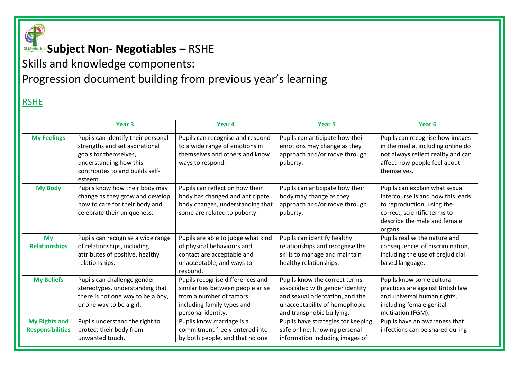

## **Subject Non- Negotiables** – RSHE

Skills and knowledge components: Progression document building from previous year's learning

#### RSHE

|                                                 | Year <sub>3</sub>                                                                                                                                                     | Year 4                                                                                                                                                | Year <sub>5</sub>                                                                                                                                                 | Year <sub>6</sub>                                                                                                                                                            |
|-------------------------------------------------|-----------------------------------------------------------------------------------------------------------------------------------------------------------------------|-------------------------------------------------------------------------------------------------------------------------------------------------------|-------------------------------------------------------------------------------------------------------------------------------------------------------------------|------------------------------------------------------------------------------------------------------------------------------------------------------------------------------|
| <b>My Feelings</b>                              | Pupils can identify their personal<br>strengths and set aspirational<br>goals for themselves,<br>understanding how this<br>contributes to and builds self-<br>esteem. | Pupils can recognise and respond<br>to a wide range of emotions in<br>themselves and others and know<br>ways to respond.                              | Pupils can anticipate how their<br>emotions may change as they<br>approach and/or move through<br>puberty.                                                        | Pupils can recognise how images<br>in the media, including online do<br>not always reflect reality and can<br>affect how people feel about<br>themselves.                    |
| <b>My Body</b>                                  | Pupils know how their body may<br>change as they grow and develop,<br>how to care for their body and<br>celebrate their uniqueness.                                   | Pupils can reflect on how their<br>body has changed and anticipate<br>body changes, understanding that<br>some are related to puberty.                | Pupils can anticipate how their<br>body may change as they<br>approach and/or move through<br>puberty.                                                            | Pupils can explain what sexual<br>intercourse is and how this leads<br>to reproduction, using the<br>correct, scientific terms to<br>describe the male and female<br>organs. |
| <b>My</b><br><b>Relationships</b>               | Pupils can recognise a wide range<br>of relationships, including<br>attributes of positive, healthy<br>relationships.                                                 | Pupils are able to judge what kind<br>of physical behaviours and<br>contact are acceptable and<br>unacceptable, and ways to<br>respond.               | Pupils can identify healthy<br>relationships and recognise the<br>skills to manage and maintain<br>healthy relationships.                                         | Pupils realise the nature and<br>consequences of discrimination,<br>including the use of prejudicial<br>based language.                                                      |
| <b>My Beliefs</b>                               | Pupils can challenge gender<br>stereotypes, understanding that<br>there is not one way to be a boy,<br>or one way to be a girl.                                       | Pupils recognise differences and<br>similarities between people arise<br>from a number of factors<br>including family types and<br>personal identity. | Pupils know the correct terms<br>associated with gender identity<br>and sexual orientation, and the<br>unacceptability of homophobic<br>and transphobic bullying. | Pupils know some cultural<br>practices are against British law<br>and universal human rights,<br>including female genital<br>mutilation (FGM).                               |
| <b>My Rights and</b><br><b>Responsibilities</b> | Pupils understand the right to<br>protect their body from<br>unwanted touch.                                                                                          | Pupils know marriage is a<br>commitment freely entered into<br>by both people, and that no one                                                        | Pupils have strategies for keeping<br>safe online; knowing personal<br>information including images of                                                            | Pupils have an awareness that<br>infections can be shared during                                                                                                             |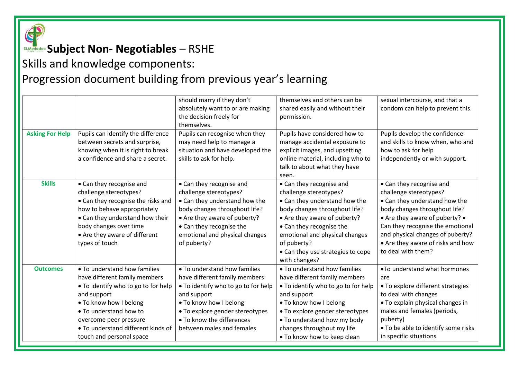

## **Subject Non- Negotiables** – RSHE

#### Skills and knowledge components: Progression document building from previous year's learning

|                        |                                     | should marry if they don't          | themselves and others can be        | sexual intercourse, and that a      |
|------------------------|-------------------------------------|-------------------------------------|-------------------------------------|-------------------------------------|
|                        |                                     | absolutely want to or are making    | shared easily and without their     | condom can help to prevent this.    |
|                        |                                     | the decision freely for             | permission.                         |                                     |
|                        |                                     | themselves.                         |                                     |                                     |
| <b>Asking For Help</b> | Pupils can identify the difference  | Pupils can recognise when they      | Pupils have considered how to       | Pupils develop the confidence       |
|                        | between secrets and surprise,       | may need help to manage a           | manage accidental exposure to       | and skills to know when, who and    |
|                        | knowing when it is right to break   | situation and have developed the    | explicit images, and upsetting      | how to ask for help                 |
|                        | a confidence and share a secret.    | skills to ask for help.             | online material, including who to   | independently or with support.      |
|                        |                                     |                                     | talk to about what they have        |                                     |
|                        |                                     |                                     | seen.                               |                                     |
| <b>Skills</b>          | • Can they recognise and            | • Can they recognise and            | • Can they recognise and            | • Can they recognise and            |
|                        | challenge stereotypes?              | challenge stereotypes?              | challenge stereotypes?              | challenge stereotypes?              |
|                        | • Can they recognise the risks and  | • Can they understand how the       | • Can they understand how the       | • Can they understand how the       |
|                        | how to behave appropriately         | body changes throughout life?       | body changes throughout life?       | body changes throughout life?       |
|                        | • Can they understand how their     | • Are they aware of puberty?        | • Are they aware of puberty?        | • Are they aware of puberty? •      |
|                        | body changes over time              | • Can they recognise the            | • Can they recognise the            | Can they recognise the emotional    |
|                        | • Are they aware of different       | emotional and physical changes      | emotional and physical changes      | and physical changes of puberty?    |
|                        | types of touch                      | of puberty?                         | of puberty?                         | • Are they aware of risks and how   |
|                        |                                     |                                     | • Can they use strategies to cope   | to deal with them?                  |
|                        |                                     |                                     | with changes?                       |                                     |
| <b>Outcomes</b>        | • To understand how families        | . To understand how families        | • To understand how families        | .To understand what hormones        |
|                        | have different family members       | have different family members       | have different family members       | are                                 |
|                        | • To identify who to go to for help | • To identify who to go to for help | • To identify who to go to for help | • To explore different strategies   |
|                        | and support                         | and support                         | and support                         | to deal with changes                |
|                        | . To know how I belong              | . To know how I belong              | . To know how I belong              | • To explain physical changes in    |
|                        | • To understand how to              | • To explore gender stereotypes     | • To explore gender stereotypes     | males and females (periods,         |
|                        | overcome peer pressure              | . To know the differences           | • To understand how my body         | puberty)                            |
|                        | • To understand different kinds of  | between males and females           | changes throughout my life          | • To be able to identify some risks |
|                        | touch and personal space            |                                     | . To know how to keep clean         | in specific situations              |